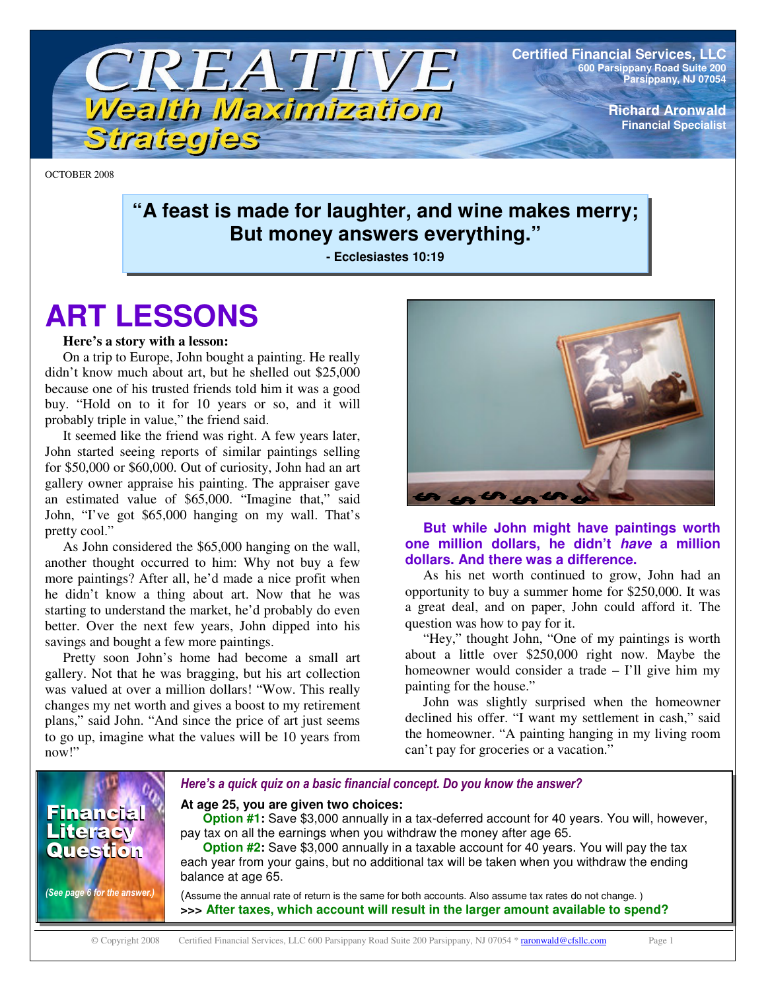

**Certified Financial Services, LLC 600 Parsippany Road Suite 200 Parsippany, NJ 07054**

> **Richard Aronwald Financial Specialist**

OCTOBER 2008

### **"A feast is made for laughter, and wine makes merry; But money answers everything."**

**- Ecclesiastes 10:19**

# **ART LESSONS**

#### **Here's a story with a lesson:**

On a trip to Europe, John bought a painting. He really didn't know much about art, but he shelled out \$25,000 because one of his trusted friends told him it was a good buy. "Hold on to it for 10 years or so, and it will probably triple in value," the friend said.

It seemed like the friend was right. A few years later, John started seeing reports of similar paintings selling for \$50,000 or \$60,000. Out of curiosity, John had an art gallery owner appraise his painting. The appraiser gave an estimated value of \$65,000. "Imagine that," said John, "I've got \$65,000 hanging on my wall. That's pretty cool."

As John considered the \$65,000 hanging on the wall, another thought occurred to him: Why not buy a few more paintings? After all, he'd made a nice profit when he didn't know a thing about art. Now that he was starting to understand the market, he'd probably do even better. Over the next few years, John dipped into his savings and bought a few more paintings.

Pretty soon John's home had become a small art gallery. Not that he was bragging, but his art collection was valued at over a million dollars! "Wow. This really changes my net worth and gives a boost to my retirement plans," said John. "And since the price of art just seems to go up, imagine what the values will be 10 years from now!"



#### **But while John might have paintings worth one million dollars, he didn't** *have* **a million dollars. And there was a difference.**

As his net worth continued to grow, John had an opportunity to buy a summer home for \$250,000. It was a great deal, and on paper, John could afford it. The question was how to pay for it.

"Hey," thought John, "One of my paintings is worth about a little over \$250,000 right now. Maybe the homeowner would consider a trade – I'll give him my painting for the house."

John was slightly surprised when the homeowner declined his offer. "I want my settlement in cash," said the homeowner. "A painting hanging in my living room can't pay for groceries or a vacation."

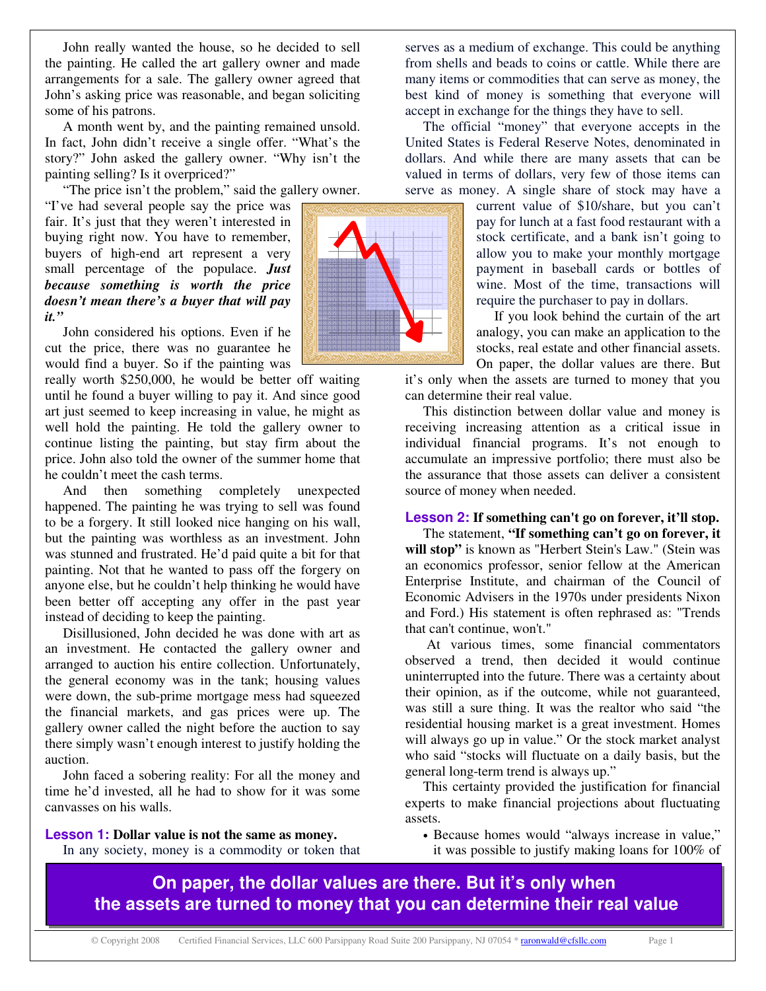John really wanted the house, so he decided to sell the painting. He called the art gallery owner and made arrangements for a sale. The gallery owner agreed that John's asking price was reasonable, and began soliciting some of his patrons.

A month went by, and the painting remained unsold. In fact, John didn't receive a single offer. "What's the story?" John asked the gallery owner. "Why isn't the painting selling? Is it overpriced?"

"The price isn't the problem," said the gallery owner.

"I've had several people say the price was fair. It's just that they weren't interested in buying right now. You have to remember, buyers of high-end art represent a very small percentage of the populace. *Just because something is worth the price doesn't mean there's a buyer that will pay it."*

John considered his options. Even if he cut the price, there was no guarantee he would find a buyer. So if the painting was

really worth \$250,000, he would be better off waiting until he found a buyer willing to pay it. And since good art just seemed to keep increasing in value, he might as well hold the painting. He told the gallery owner to continue listing the painting, but stay firm about the price. John also told the owner of the summer home that he couldn't meet the cash terms.

And then something completely unexpected happened. The painting he was trying to sell was found to be a forgery. It still looked nice hanging on his wall, but the painting was worthless as an investment. John was stunned and frustrated. He'd paid quite a bit for that painting. Not that he wanted to pass off the forgery on anyone else, but he couldn't help thinking he would have been better off accepting any offer in the past year instead of deciding to keep the painting.

Disillusioned, John decided he was done with art as an investment. He contacted the gallery owner and arranged to auction his entire collection. Unfortunately, the general economy was in the tank; housing values were down, the sub-prime mortgage mess had squeezed the financial markets, and gas prices were up. The gallery owner called the night before the auction to say there simply wasn't enough interest to justify holding the auction.

John faced a sobering reality: For all the money and time he'd invested, all he had to show for it was some canvasses on his walls.

**Lesson 1: Dollar value is not the same as money.**

In any society, money is a commodity or token that



The official "money" that everyone accepts in the United States is Federal Reserve Notes, denominated in dollars. And while there are many assets that can be valued in terms of dollars, very few of those items can serve as money. A single share of stock may have a

> current value of \$10/share, but you can't pay for lunch at a fast food restaurant with a stock certificate, and a bank isn't going to allow you to make your monthly mortgage payment in baseball cards or bottles of wine. Most of the time, transactions will require the purchaser to pay in dollars.

> If you look behind the curtain of the art analogy, you can make an application to the stocks, real estate and other financial assets. On paper, the dollar values are there. But

it's only when the assets are turned to money that you can determine their real value.

This distinction between dollar value and money is receiving increasing attention as a critical issue in individual financial programs. It's not enough to accumulate an impressive portfolio; there must also be the assurance that those assets can deliver a consistent source of money when needed.

#### **Lesson 2: If something can't go on forever, it'll stop.**

The statement, **"If something can't go on forever, it will stop"** is known as "Herbert Stein's Law." (Stein was an economics professor, senior fellow at the American Enterprise Institute, and chairman of the Council of Economic Advisers in the 1970s under presidents Nixon and Ford.) His statement is often rephrased as: "Trends that can't continue, won't."

At various times, some financial commentators observed a trend, then decided it would continue uninterrupted into the future. There was a certainty about their opinion, as if the outcome, while not guaranteed, was still a sure thing. It was the realtor who said "the residential housing market is a great investment. Homes will always go up in value." Or the stock market analyst who said "stocks will fluctuate on a daily basis, but the general long-term trend is always up."

This certainty provided the justification for financial experts to make financial projections about fluctuating assets.

• Because homes would "always increase in value," it was possible to justify making loans for 100% of

**On paper, the dollar values are there. But it's only when the assets are turned to money that you can determine their real value**

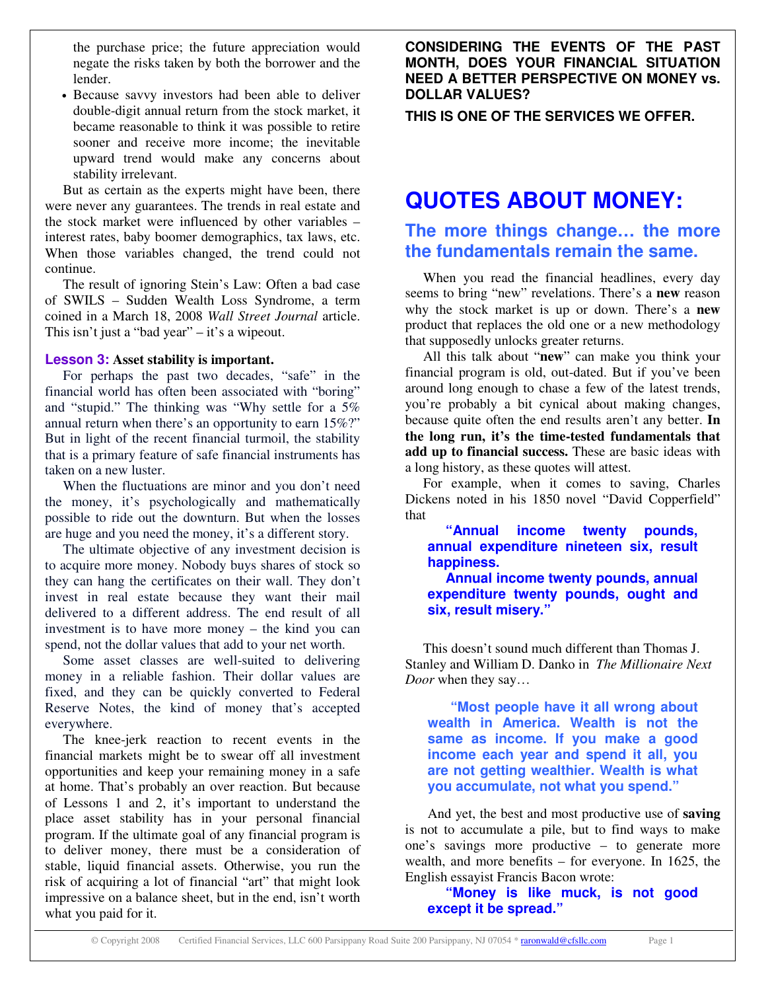the purchase price; the future appreciation would negate the risks taken by both the borrower and the lender.

• Because savvy investors had been able to deliver double-digit annual return from the stock market, it became reasonable to think it was possible to retire sooner and receive more income; the inevitable upward trend would make any concerns about stability irrelevant.

But as certain as the experts might have been, there were never any guarantees. The trends in real estate and the stock market were influenced by other variables – interest rates, baby boomer demographics, tax laws, etc. When those variables changed, the trend could not continue.

The result of ignoring Stein's Law: Often a bad case of SWILS – Sudden Wealth Loss Syndrome, a term coined in a March 18, 2008 *Wall Street Journal* article. This isn't just a "bad year" – it's a wipeout.

#### **Lesson 3: Asset stability is important.**

For perhaps the past two decades, "safe" in the financial world has often been associated with "boring" and "stupid." The thinking was "Why settle for a 5% annual return when there's an opportunity to earn 15%?" But in light of the recent financial turmoil, the stability that is a primary feature of safe financial instruments has taken on a new luster.

When the fluctuations are minor and you don't need the money, it's psychologically and mathematically possible to ride out the downturn. But when the losses are huge and you need the money, it's a different story.

The ultimate objective of any investment decision is to acquire more money. Nobody buys shares of stock so they can hang the certificates on their wall. They don't invest in real estate because they want their mail delivered to a different address. The end result of all investment is to have more money – the kind you can spend, not the dollar values that add to your net worth.

Some asset classes are well-suited to delivering money in a reliable fashion. Their dollar values are fixed, and they can be quickly converted to Federal Reserve Notes, the kind of money that's accepted everywhere.

The knee-jerk reaction to recent events in the financial markets might be to swear off all investment opportunities and keep your remaining money in a safe at home. That's probably an over reaction. But because of Lessons 1 and 2, it's important to understand the place asset stability has in your personal financial program. If the ultimate goal of any financial program is to deliver money, there must be a consideration of stable, liquid financial assets. Otherwise, you run the risk of acquiring a lot of financial "art" that might look impressive on a balance sheet, but in the end, isn't worth what you paid for it.

**CONSIDERING THE EVENTS OF THE PAST MONTH, DOES YOUR FINANCIAL SITUATION NEED A BETTER PERSPECTIVE ON MONEY vs. DOLLAR VALUES?**

**THIS IS ONE OF THE SERVICES WE OFFER.**

# **QUOTES ABOUT MONEY:**

### **The more things change… the more the fundamentals remain the same.**

When you read the financial headlines, every day seems to bring "new" revelations. There's a **new** reason why the stock market is up or down. There's a **new** product that replaces the old one or a new methodology that supposedly unlocks greater returns.

All this talk about "**new**" can make you think your financial program is old, out-dated. But if you've been around long enough to chase a few of the latest trends, you're probably a bit cynical about making changes, because quite often the end results aren't any better. **In the long run, it's the time-tested fundamentals that add up to financial success.** These are basic ideas with a long history, as these quotes will attest.

For example, when it comes to saving, Charles Dickens noted in his 1850 novel "David Copperfield" that

**"Annual income twenty pounds, annual expenditure nineteen six, result happiness.**

**Annual income twenty pounds, annual expenditure twenty pounds, ought and six, result misery."**

This doesn't sound much different than Thomas J. Stanley and William D. Danko in *The Millionaire Next Door* when they say…

**"Most people have it all wrong about wealth in America. Wealth is not the same as income. If you make a good income each year and spend it all, you are not getting wealthier. Wealth is what you accumulate, not what you spend."**

And yet, the best and most productive use of **saving** is not to accumulate a pile, but to find ways to make one's savings more productive – to generate more wealth, and more benefits – for everyone. In 1625, the English essayist Francis Bacon wrote:

**"Money is like muck, is not good except it be spread."**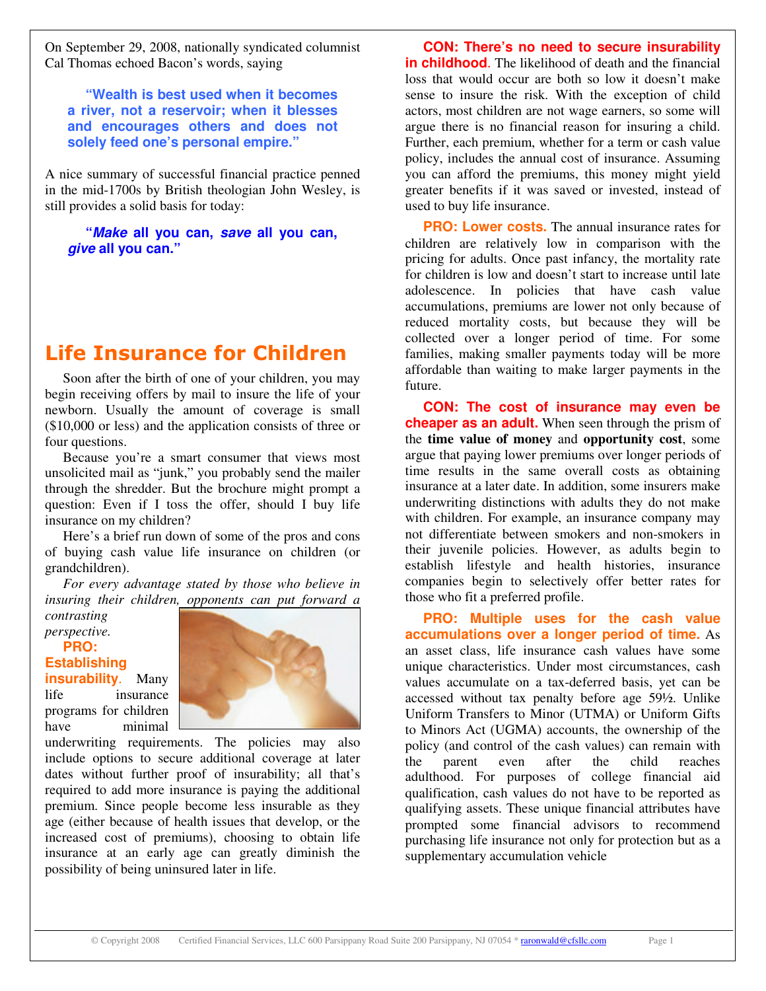On September 29, 2008, nationally syndicated columnist Cal Thomas echoed Bacon's words, saying

**"Wealth is best used when it becomes a river, not a reservoir; when it blesses and encourages others and does not solely feed one's personal empire."**

A nice summary of successful financial practice penned in the mid-1700s by British theologian John Wesley, is still provides a solid basis for today:

**"***Make* **all you can,** *save* **all you can,** *give* **all you can."**

## **Life Insurance for Children**

Soon after the birth of one of your children, you may begin receiving offers by mail to insure the life of your newborn. Usually the amount of coverage is small (\$10,000 or less) and the application consists of three or four questions.

Because you're a smart consumer that views most unsolicited mail as "junk," you probably send the mailer through the shredder. But the brochure might prompt a question: Even if I toss the offer, should I buy life insurance on my children?

Here's a brief run down of some of the pros and cons of buying cash value life insurance on children (or grandchildren).

*For every advantage stated by those who believe in insuring their children, opponents can put forward a*

*contrasting perspective.* **PRO: Establishing**

**insurability**. Many life insurance programs for children have minimal



underwriting requirements. The policies may also include options to secure additional coverage at later dates without further proof of insurability; all that's required to add more insurance is paying the additional premium. Since people become less insurable as they age (either because of health issues that develop, or the increased cost of premiums), choosing to obtain life insurance at an early age can greatly diminish the possibility of being uninsured later in life.

**CON: There's no need to secure insurability in childhood**. The likelihood of death and the financial loss that would occur are both so low it doesn't make sense to insure the risk. With the exception of child actors, most children are not wage earners, so some will argue there is no financial reason for insuring a child. Further, each premium, whether for a term or cash value policy, includes the annual cost of insurance. Assuming you can afford the premiums, this money might yield greater benefits if it was saved or invested, instead of used to buy life insurance.

**PRO: Lower costs.** The annual insurance rates for children are relatively low in comparison with the pricing for adults. Once past infancy, the mortality rate for children is low and doesn't start to increase until late adolescence. In policies that have cash value accumulations, premiums are lower not only because of reduced mortality costs, but because they will be collected over a longer period of time. For some families, making smaller payments today will be more affordable than waiting to make larger payments in the future.

**CON: The cost of insurance may even be cheaper as an adult.** When seen through the prism of the **time value of money** and **opportunity cost**, some argue that paying lower premiums over longer periods of time results in the same overall costs as obtaining insurance at a later date. In addition, some insurers make underwriting distinctions with adults they do not make with children. For example, an insurance company may not differentiate between smokers and non-smokers in their juvenile policies. However, as adults begin to establish lifestyle and health histories, insurance companies begin to selectively offer better rates for those who fit a preferred profile.

**PRO: Multiple uses for the cash value accumulations over a longer period of time.** As an asset class, life insurance cash values have some unique characteristics. Under most circumstances, cash values accumulate on a tax-deferred basis, yet can be accessed without tax penalty before age 59½. Unlike Uniform Transfers to Minor (UTMA) or Uniform Gifts to Minors Act (UGMA) accounts, the ownership of the policy (and control of the cash values) can remain with the parent even after the child reaches adulthood. For purposes of college financial aid qualification, cash values do not have to be reported as qualifying assets. These unique financial attributes have prompted some financial advisors to recommend purchasing life insurance not only for protection but as a supplementary accumulation vehicle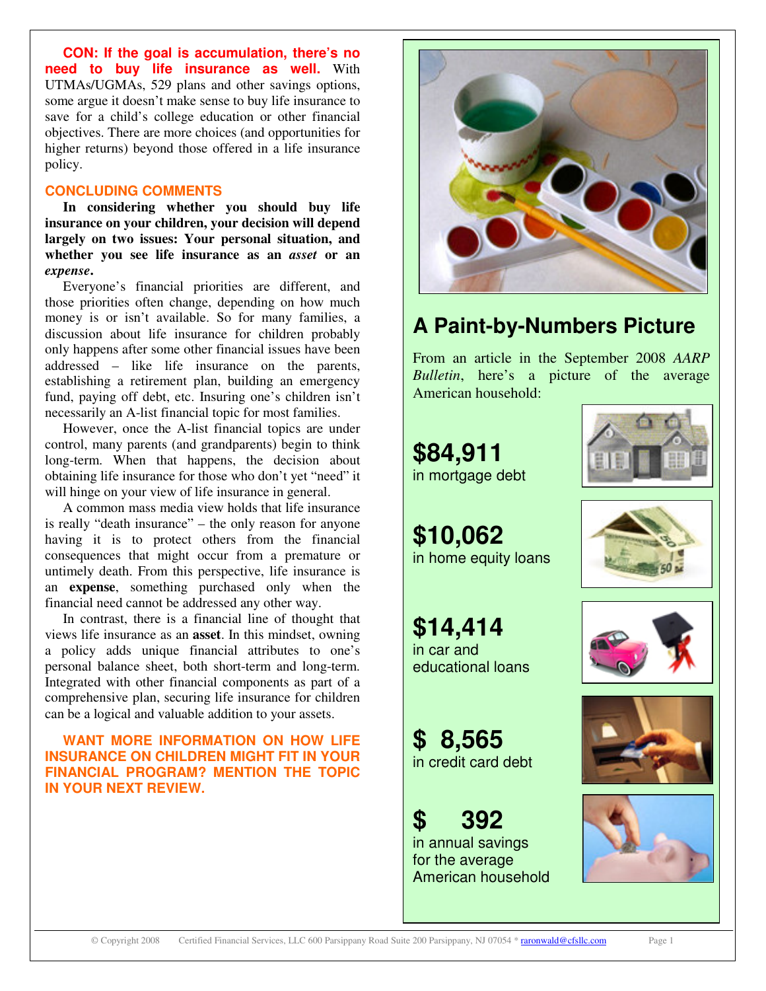**CON: If the goal is accumulation, there's no need to buy life insurance as well.** With UTMAs/UGMAs, 529 plans and other savings options, some argue it doesn't make sense to buy life insurance to save for a child's college education or other financial objectives. There are more choices (and opportunities for higher returns) beyond those offered in a life insurance policy.

#### **CONCLUDING COMMENTS**

**In considering whether you should buy life insurance on your children, your decision will depend largely on two issues: Your personal situation, and whether you see life insurance as an** *asset* **or an** *expense***.**

Everyone's financial priorities are different, and those priorities often change, depending on how much money is or isn't available. So for many families, a discussion about life insurance for children probably only happens after some other financial issues have been addressed – like life insurance on the parents, establishing a retirement plan, building an emergency fund, paying off debt, etc. Insuring one's children isn't necessarily an A-list financial topic for most families.

However, once the A-list financial topics are under control, many parents (and grandparents) begin to think long-term. When that happens, the decision about obtaining life insurance for those who don't yet "need" it will hinge on your view of life insurance in general.

A common mass media view holds that life insurance is really "death insurance" – the only reason for anyone having it is to protect others from the financial consequences that might occur from a premature or untimely death. From this perspective, life insurance is an **expense**, something purchased only when the financial need cannot be addressed any other way.

In contrast, there is a financial line of thought that views life insurance as an **asset**. In this mindset, owning a policy adds unique financial attributes to one's personal balance sheet, both short-term and long-term. Integrated with other financial components as part of a comprehensive plan, securing life insurance for children can be a logical and valuable addition to your assets.

#### **WANT MORE INFORMATION ON HOW LIFE INSURANCE ON CHILDREN MIGHT FIT IN YOUR FINANCIAL PROGRAM? MENTION THE TOPIC IN YOUR NEXT REVIEW.**



## **A Paint-by-Numbers Picture**

From an article in the September 2008 *AARP Bulletin*, here's a picture of the average American household:





**\$10,062** in home equity loans



**\$14,414** in car and educational loans



**\$ 8,565** in credit card debt

# **\$ 392**

in annual savings for the average American household